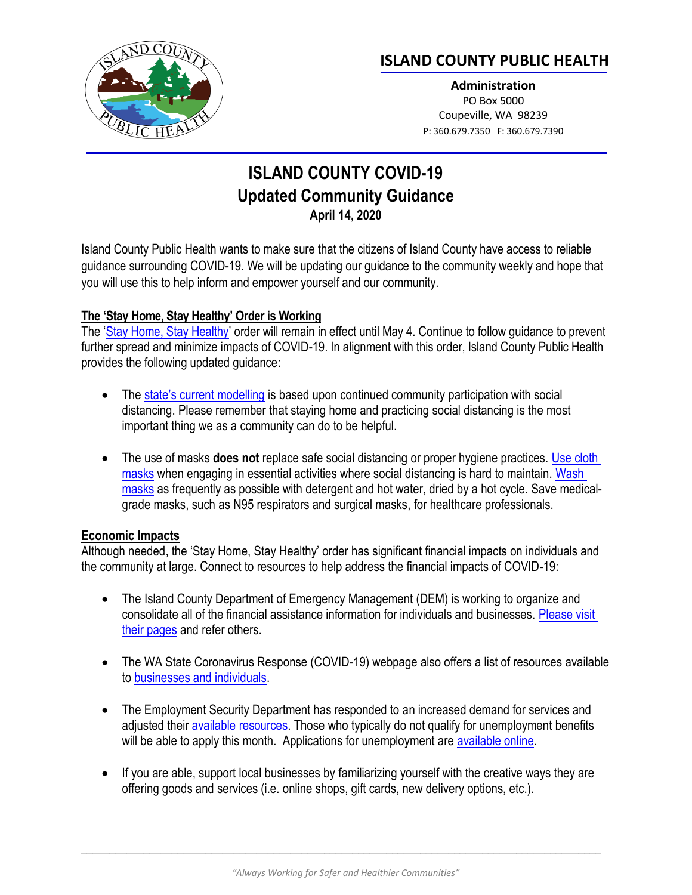

# **ISLAND COUNTY PUBLIC HEALTH**

**Administration** PO Box 5000 Coupeville, WA 98239 P: 360.679.7350 F: 360.679.7390

# **ISLAND COUNTY COVID-19 Updated Community Guidance April 14, 2020**

Island County Public Health wants to make sure that the citizens of Island County have access to reliable guidance surrounding COVID-19. We will be updating our guidance to the community weekly and hope that you will use this to help inform and empower yourself and our community.

## **The 'Stay Home, Stay Healthy' Order is Working**

The '[Stay Home, Stay Healthy](https://www.governor.wa.gov/sites/default/files/proclamations/20-25%20Coronovirus%20Stay%20Safe-Stay%20Healthy%20%28tmp%29%20%28002%29.pdf)' order will remain in effect until May 4. Continue to follow guidance to prevent further spread and minimize impacts of COVID-19. In alignment with this order, Island County Public Health provides the following updated guidance:

- The [state's current modelling](https://medium.com/wagovernor/video-a-critical-caveat-58a2b53c3a58) is based upon continued community participation with social distancing. Please remember that staying home and practicing social distancing is the most important thing we as a community can do to be helpful.
- The use of masks **does not** replace safe social distancing or proper hygiene practices. Use cloth [masks](https://www.cdc.gov/coronavirus/2019-ncov/prevent-getting-sick/diy-cloth-face-coverings.html) when engaging in essential activities where social distancing is hard to maintain. Wash [masks](https://www.cdc.gov/coronavirus/2019-ncov/prevent-getting-sick/cloth-face-cover-faq.html) as frequently as possible with detergent and hot water, dried by a hot cycle. Save medicalgrade masks, such as N95 respirators and surgical masks, for healthcare professionals.

#### **Economic Impacts**

Although needed, the 'Stay Home, Stay Healthy' order has significant financial impacts on individuals and the community at large. Connect to resources to help address the financial impacts of COVID-19:

- The Island County Department of Emergency Management (DEM) is working to organize and consolidate all of the financial assistance information for individuals and businesses. [Please visit](https://www.islandcountywa.gov/DEM/Pages/COVID19-DEM.aspx)  [their pages](https://www.islandcountywa.gov/DEM/Pages/COVID19-DEM.aspx) and refer others.
- The WA State Coronavirus Response (COVID-19) webpage also offers a list of resources available to [businesses and individuals.](https://coronavirus.wa.gov/business-workers)
- The Employment Security Department has responded to an increased demand for services and adjusted their available [resources.](https://esd.wa.gov/newsroom/covid-19) Those who typically do not qualify for unemployment benefits will be able to apply this month. Applications for unemployment are [available online.](https://esd.wa.gov/unemployment#step-1)
- If you are able, support local businesses by familiarizing yourself with the creative ways they are offering goods and services (i.e. online shops, gift cards, new delivery options, etc.).

 $\_$  ,  $\_$  ,  $\_$  ,  $\_$  ,  $\_$  ,  $\_$  ,  $\_$  ,  $\_$  ,  $\_$  ,  $\_$  ,  $\_$  ,  $\_$  ,  $\_$  ,  $\_$  ,  $\_$  ,  $\_$  ,  $\_$  ,  $\_$  ,  $\_$  ,  $\_$  ,  $\_$  ,  $\_$  ,  $\_$  ,  $\_$  ,  $\_$  ,  $\_$  ,  $\_$  ,  $\_$  ,  $\_$  ,  $\_$  ,  $\_$  ,  $\_$  ,  $\_$  ,  $\_$  ,  $\_$  ,  $\_$  ,  $\_$  ,